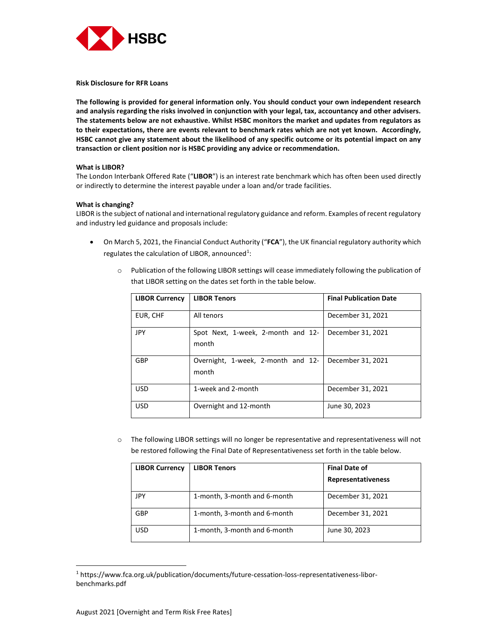

Risk Disclosure for RFR Loans

The following is provided for general information only. You should conduct your own independent research and analysis regarding the risks involved in conjunction with your legal, tax, accountancy and other advisers. The statements below are not exhaustive. Whilst HSBC monitors the market and updates from regulators as to their expectations, there are events relevant to benchmark rates which are not yet known. Accordingly, HSBC cannot give any statement about the likelihood of any specific outcome or its potential impact on any transaction or client position nor is HSBC providing any advice or recommendation.

## What is LIBOR?

The London Interbank Offered Rate ("LIBOR") is an interest rate benchmark which has often been used directly or indirectly to determine the interest payable under a loan and/or trade facilities.

### What is changing?

LIBOR is the subject of national and international regulatory guidance and reform. Examples of recent regulatory and industry led guidance and proposals include:

- On March 5, 2021, the Financial Conduct Authority ("FCA"), the UK financial regulatory authority which regulates the calculation of LIBOR, announced<sup>1</sup>:
	- o Publication of the following LIBOR settings will cease immediately following the publication of that LIBOR setting on the dates set forth in the table below.

| <b>LIBOR Currency</b> | <b>LIBOR Tenors</b>                         | <b>Final Publication Date</b> |
|-----------------------|---------------------------------------------|-------------------------------|
| EUR, CHF              | All tenors                                  | December 31, 2021             |
| <b>JPY</b>            | Spot Next, 1-week, 2-month and 12-<br>month | December 31, 2021             |
| GBP                   | Overnight, 1-week, 2-month and 12-<br>month | December 31, 2021             |
| <b>USD</b>            | 1-week and 2-month                          | December 31, 2021             |
| <b>USD</b>            | Overnight and 12-month                      | June 30, 2023                 |

o The following LIBOR settings will no longer be representative and representativeness will not be restored following the Final Date of Representativeness set forth in the table below.

| <b>LIBOR Currency</b> | <b>LIBOR Tenors</b>          | <b>Final Date of</b> |
|-----------------------|------------------------------|----------------------|
|                       |                              | Representativeness   |
| JPY                   | 1-month, 3-month and 6-month | December 31, 2021    |
| GBP                   | 1-month, 3-month and 6-month | December 31, 2021    |
| USD                   | 1-month, 3-month and 6-month | June 30, 2023        |

<sup>1</sup> https://www.fca.org.uk/publication/documents/future-cessation-loss-representativeness-liborbenchmarks.pdf

1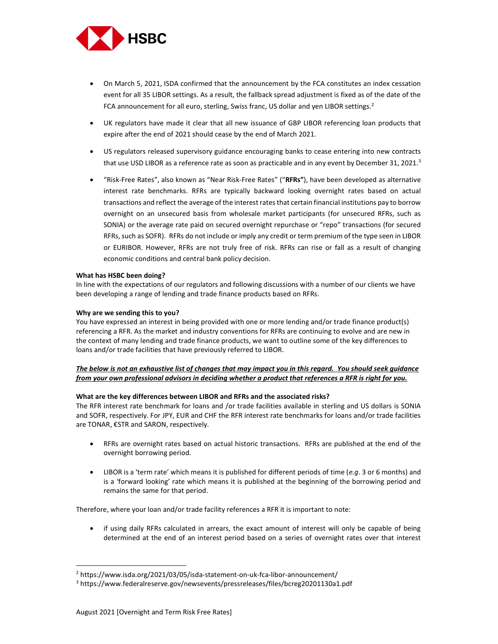

- On March 5, 2021, ISDA confirmed that the announcement by the FCA constitutes an index cessation event for all 35 LIBOR settings. As a result, the fallback spread adjustment is fixed as of the date of the FCA announcement for all euro, sterling, Swiss franc, US dollar and yen LIBOR settings.<sup>2</sup>
- UK regulators have made it clear that all new issuance of GBP LIBOR referencing loan products that expire after the end of 2021 should cease by the end of March 2021.
- US regulators released supervisory guidance encouraging banks to cease entering into new contracts that use USD LIBOR as a reference rate as soon as practicable and in any event by December 31, 2021.<sup>3</sup>
- "Risk-Free Rates", also known as "Near Risk-Free Rates" ("RFRs"), have been developed as alternative interest rate benchmarks. RFRs are typically backward looking overnight rates based on actual transactions and reflect the average of the interest rates that certain financial institutions pay to borrow overnight on an unsecured basis from wholesale market participants (for unsecured RFRs, such as SONIA) or the average rate paid on secured overnight repurchase or "repo" transactions (for secured RFRs, such as SOFR). RFRs do not include or imply any credit or term premium of the type seen in LIBOR or EURIBOR. However, RFRs are not truly free of risk. RFRs can rise or fall as a result of changing economic conditions and central bank policy decision.

#### What has HSBC been doing?

In line with the expectations of our regulators and following discussions with a number of our clients we have been developing a range of lending and trade finance products based on RFRs.

### Why are we sending this to you?

You have expressed an interest in being provided with one or more lending and/or trade finance product(s) referencing a RFR. As the market and industry conventions for RFRs are continuing to evolve and are new in the context of many lending and trade finance products, we want to outline some of the key differences to loans and/or trade facilities that have previously referred to LIBOR.

# The below is not an exhaustive list of changes that may impact you in this regard. You should seek guidance from your own professional advisors in deciding whether a product that references a RFR is right for you.

## What are the key differences between LIBOR and RFRs and the associated risks?

The RFR interest rate benchmark for loans and /or trade facilities available in sterling and US dollars is SONIA and SOFR, respectively. For JPY, EUR and CHF the RFR interest rate benchmarks for loans and/or trade facilities are TONAR, €STR and SARON, respectively.

- RFRs are overnight rates based on actual historic transactions. RFRs are published at the end of the overnight borrowing period.
- LIBOR is a 'term rate' which means it is published for different periods of time (e.g. 3 or 6 months) and is a 'forward looking' rate which means it is published at the beginning of the borrowing period and remains the same for that period.

Therefore, where your loan and/or trade facility references a RFR it is important to note:

• if using daily RFRs calculated in arrears, the exact amount of interest will only be capable of being determined at the end of an interest period based on a series of overnight rates over that interest

1

<sup>&</sup>lt;sup>2</sup> https://www.isda.org/2021/03/05/isda-statement-on-uk-fca-libor-announcement/

<sup>3</sup> https://www.federalreserve.gov/newsevents/pressreleases/files/bcreg20201130a1.pdf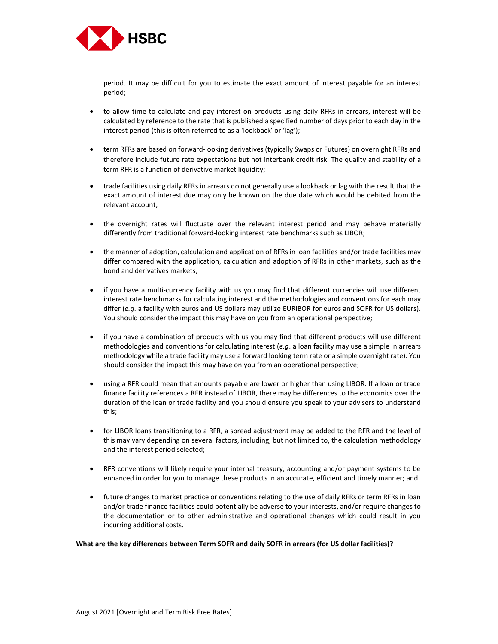

period. It may be difficult for you to estimate the exact amount of interest payable for an interest period;

- to allow time to calculate and pay interest on products using daily RFRs in arrears, interest will be calculated by reference to the rate that is published a specified number of days prior to each day in the interest period (this is often referred to as a 'lookback' or 'lag');
- term RFRs are based on forward-looking derivatives (typically Swaps or Futures) on overnight RFRs and therefore include future rate expectations but not interbank credit risk. The quality and stability of a term RFR is a function of derivative market liquidity;
- trade facilities using daily RFRs in arrears do not generally use a lookback or lag with the result that the exact amount of interest due may only be known on the due date which would be debited from the relevant account;
- the overnight rates will fluctuate over the relevant interest period and may behave materially differently from traditional forward-looking interest rate benchmarks such as LIBOR;
- the manner of adoption, calculation and application of RFRs in loan facilities and/or trade facilities may differ compared with the application, calculation and adoption of RFRs in other markets, such as the bond and derivatives markets;
- if you have a multi-currency facility with us you may find that different currencies will use different interest rate benchmarks for calculating interest and the methodologies and conventions for each may differ (e.g. a facility with euros and US dollars may utilize EURIBOR for euros and SOFR for US dollars). You should consider the impact this may have on you from an operational perspective;
- if you have a combination of products with us you may find that different products will use different methodologies and conventions for calculating interest (e.g. a loan facility may use a simple in arrears methodology while a trade facility may use a forward looking term rate or a simple overnight rate). You should consider the impact this may have on you from an operational perspective;
- using a RFR could mean that amounts payable are lower or higher than using LIBOR. If a loan or trade finance facility references a RFR instead of LIBOR, there may be differences to the economics over the duration of the loan or trade facility and you should ensure you speak to your advisers to understand this;
- for LIBOR loans transitioning to a RFR, a spread adjustment may be added to the RFR and the level of this may vary depending on several factors, including, but not limited to, the calculation methodology and the interest period selected;
- RFR conventions will likely require your internal treasury, accounting and/or payment systems to be enhanced in order for you to manage these products in an accurate, efficient and timely manner; and
- future changes to market practice or conventions relating to the use of daily RFRs or term RFRs in loan and/or trade finance facilities could potentially be adverse to your interests, and/or require changes to the documentation or to other administrative and operational changes which could result in you incurring additional costs.

#### What are the key differences between Term SOFR and daily SOFR in arrears (for US dollar facilities)?